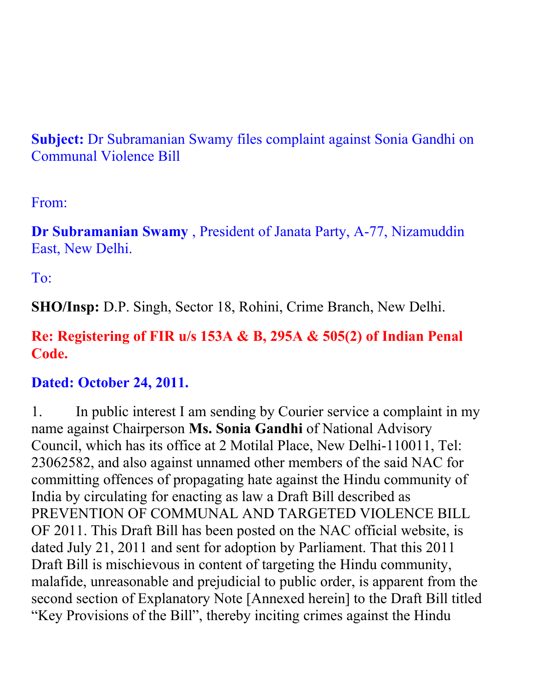**Subject:** Dr Subramanian Swamy files complaint against Sonia Gandhi on Communal Violence Bill

From:

**Dr Subramanian Swamy** , President of Janata Party, A-77, Nizamuddin East, New Delhi.

To:

**SHO/Insp:** D.P. Singh, Sector 18, Rohini, Crime Branch, New Delhi.

## **Re: Registering of FIR u/s 153A & B, 295A & 505(2) of Indian Penal Code.**

## **Dated: October 24, 2011.**

1. In public interest I am sending by Courier service a complaint in my name against Chairperson **Ms. Sonia Gandhi** of National Advisory Council, which has its office at 2 Motilal Place, New Delhi-110011, Tel: 23062582, and also against unnamed other members of the said NAC for committing offences of propagating hate against the Hindu community of India by circulating for enacting as law a Draft Bill described as PREVENTION OF COMMUNAL AND TARGETED VIOLENCE BILL OF 2011. This Draft Bill has been posted on the NAC official website, is dated July 21, 2011 and sent for adoption by Parliament. That this 2011 Draft Bill is mischievous in content of targeting the Hindu community, malafide, unreasonable and prejudicial to public order, is apparent from the second section of Explanatory Note [Annexed herein] to the Draft Bill titled "Key Provisions of the Bill", thereby inciting crimes against the Hindu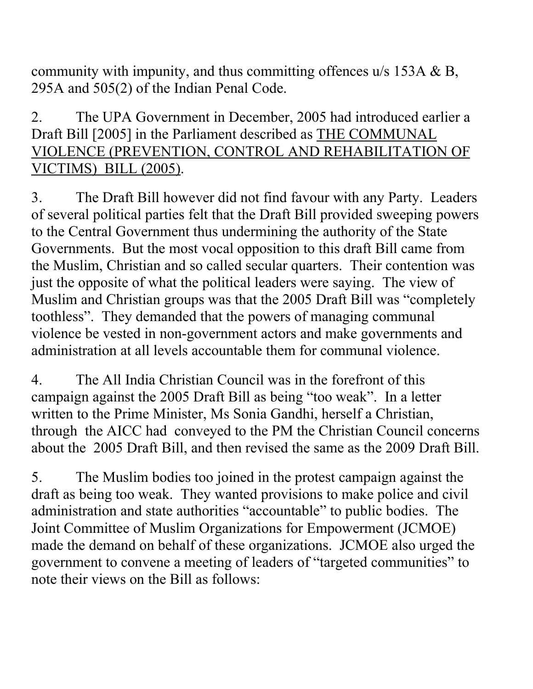community with impunity, and thus committing offences u/s 153A & B, 295A and 505(2) of the Indian Penal Code.

## 2. The UPA Government in December, 2005 had introduced earlier a Draft Bill [2005] in the Parliament described as THE COMMUNAL VIOLENCE (PREVENTION, CONTROL AND REHABILITATION OF VICTIMS) BILL (2005).

3. The Draft Bill however did not find favour with any Party. Leaders of several political parties felt that the Draft Bill provided sweeping powers to the Central Government thus undermining the authority of the State Governments. But the most vocal opposition to this draft Bill came from the Muslim, Christian and so called secular quarters. Their contention was just the opposite of what the political leaders were saying. The view of Muslim and Christian groups was that the 2005 Draft Bill was "completely toothless". They demanded that the powers of managing communal violence be vested in non-government actors and make governments and administration at all levels accountable them for communal violence.

4. The All India Christian Council was in the forefront of this campaign against the 2005 Draft Bill as being "too weak". In a letter written to the Prime Minister, Ms Sonia Gandhi, herself a Christian, through the AICC had conveyed to the PM the Christian Council concerns about the 2005 Draft Bill, and then revised the same as the 2009 Draft Bill.

5. The Muslim bodies too joined in the protest campaign against the draft as being too weak. They wanted provisions to make police and civil administration and state authorities "accountable" to public bodies. The Joint Committee of Muslim Organizations for Empowerment (JCMOE) made the demand on behalf of these organizations. JCMOE also urged the government to convene a meeting of leaders of "targeted communities" to note their views on the Bill as follows: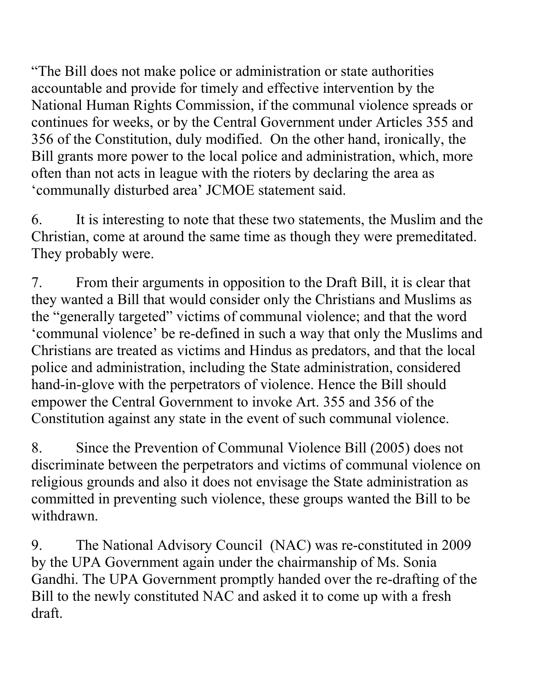"The Bill does not make police or administration or state authorities accountable and provide for timely and effective intervention by the National Human Rights Commission, if the communal violence spreads or continues for weeks, or by the Central Government under Articles 355 and 356 of the Constitution, duly modified. On the other hand, ironically, the Bill grants more power to the local police and administration, which, more often than not acts in league with the rioters by declaring the area as 'communally disturbed area' JCMOE statement said.

6. It is interesting to note that these two statements, the Muslim and the Christian, come at around the same time as though they were premeditated. They probably were.

7. From their arguments in opposition to the Draft Bill, it is clear that they wanted a Bill that would consider only the Christians and Muslims as the "generally targeted" victims of communal violence; and that the word 'communal violence' be re-defined in such a way that only the Muslims and Christians are treated as victims and Hindus as predators, and that the local police and administration, including the State administration, considered hand-in-glove with the perpetrators of violence. Hence the Bill should empower the Central Government to invoke Art. 355 and 356 of the Constitution against any state in the event of such communal violence.

8. Since the Prevention of Communal Violence Bill (2005) does not discriminate between the perpetrators and victims of communal violence on religious grounds and also it does not envisage the State administration as committed in preventing such violence, these groups wanted the Bill to be withdrawn.

9. The National Advisory Council (NAC) was re-constituted in 2009 by the UPA Government again under the chairmanship of Ms. Sonia Gandhi. The UPA Government promptly handed over the re-drafting of the Bill to the newly constituted NAC and asked it to come up with a fresh draft.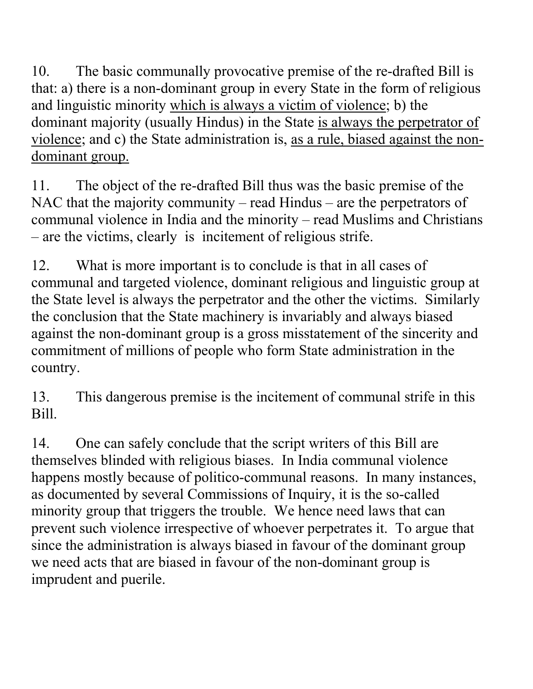10. The basic communally provocative premise of the re-drafted Bill is that: a) there is a non-dominant group in every State in the form of religious and linguistic minority which is always a victim of violence; b) the dominant majority (usually Hindus) in the State is always the perpetrator of violence; and c) the State administration is, as a rule, biased against the nondominant group.

11. The object of the re-drafted Bill thus was the basic premise of the NAC that the majority community – read Hindus – are the perpetrators of communal violence in India and the minority – read Muslims and Christians – are the victims, clearly is incitement of religious strife.

12. What is more important is to conclude is that in all cases of communal and targeted violence, dominant religious and linguistic group at the State level is always the perpetrator and the other the victims. Similarly the conclusion that the State machinery is invariably and always biased against the non-dominant group is a gross misstatement of the sincerity and commitment of millions of people who form State administration in the country.

13. This dangerous premise is the incitement of communal strife in this Bill.

14. One can safely conclude that the script writers of this Bill are themselves blinded with religious biases. In India communal violence happens mostly because of politico-communal reasons. In many instances, as documented by several Commissions of Inquiry, it is the so-called minority group that triggers the trouble. We hence need laws that can prevent such violence irrespective of whoever perpetrates it. To argue that since the administration is always biased in favour of the dominant group we need acts that are biased in favour of the non-dominant group is imprudent and puerile.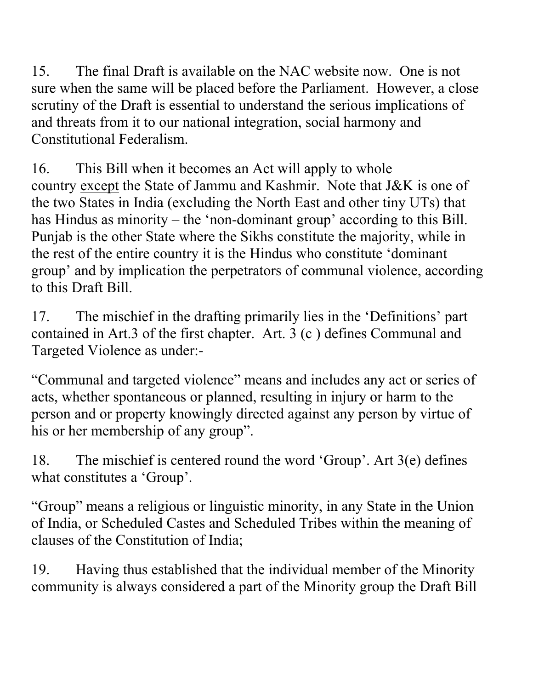15. The final Draft is available on the NAC website now. One is not sure when the same will be placed before the Parliament. However, a close scrutiny of the Draft is essential to understand the serious implications of and threats from it to our national integration, social harmony and Constitutional Federalism.

16. This Bill when it becomes an Act will apply to whole country except the State of Jammu and Kashmir. Note that J&K is one of the two States in India (excluding the North East and other tiny UTs) that has Hindus as minority – the 'non-dominant group' according to this Bill. Punjab is the other State where the Sikhs constitute the majority, while in the rest of the entire country it is the Hindus who constitute 'dominant group' and by implication the perpetrators of communal violence, according to this Draft Bill.

17. The mischief in the drafting primarily lies in the 'Definitions' part contained in Art.3 of the first chapter. Art. 3 (c ) defines Communal and Targeted Violence as under:-

"Communal and targeted violence" means and includes any act or series of acts, whether spontaneous or planned, resulting in injury or harm to the person and or property knowingly directed against any person by virtue of his or her membership of any group".

18. The mischief is centered round the word 'Group'. Art 3(e) defines what constitutes a 'Group'.

"Group" means a religious or linguistic minority, in any State in the Union of India, or Scheduled Castes and Scheduled Tribes within the meaning of clauses of the Constitution of India;

19. Having thus established that the individual member of the Minority community is always considered a part of the Minority group the Draft Bill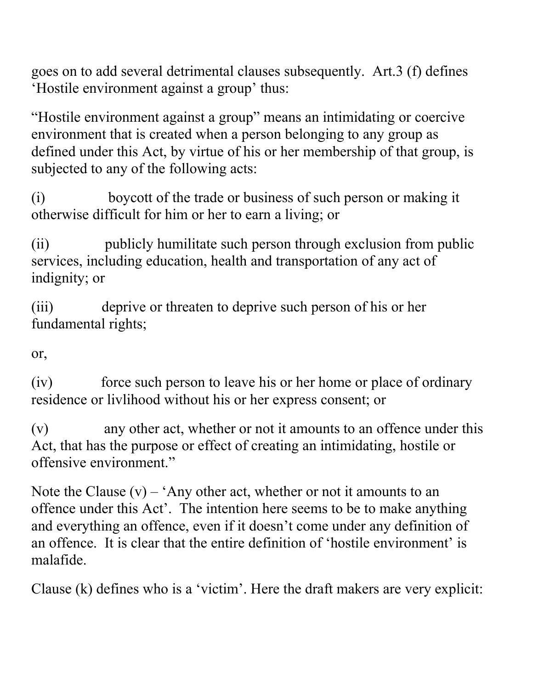goes on to add several detrimental clauses subsequently. Art.3 (f) defines 'Hostile environment against a group' thus:

"Hostile environment against a group" means an intimidating or coercive environment that is created when a person belonging to any group as defined under this Act, by virtue of his or her membership of that group, is subjected to any of the following acts:

(i) boycott of the trade or business of such person or making it otherwise difficult for him or her to earn a living; or

(ii) publicly humilitate such person through exclusion from public services, including education, health and transportation of any act of indignity; or

(iii) deprive or threaten to deprive such person of his or her fundamental rights;

or,

(iv) force such person to leave his or her home or place of ordinary residence or livlihood without his or her express consent; or

(v) any other act, whether or not it amounts to an offence under this Act, that has the purpose or effect of creating an intimidating, hostile or offensive environment."

Note the Clause  $(v)$  – 'Any other act, whether or not it amounts to an offence under this Act'. The intention here seems to be to make anything and everything an offence, even if it doesn't come under any definition of an offence. It is clear that the entire definition of 'hostile environment' is malafide.

Clause (k) defines who is a 'victim'. Here the draft makers are very explicit: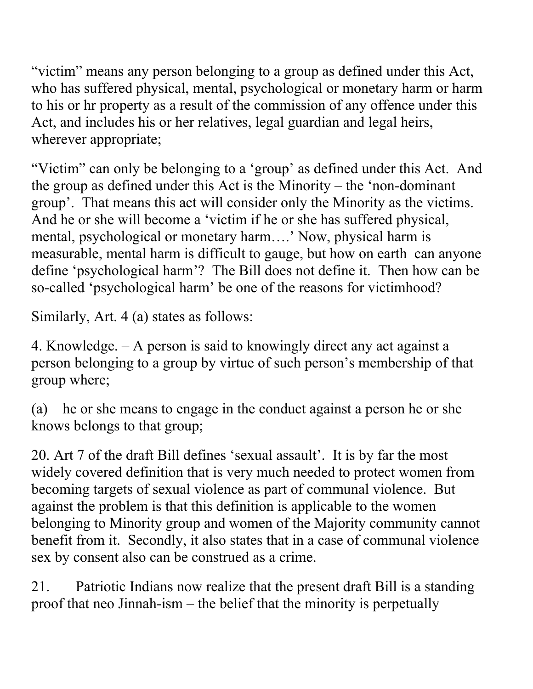"victim" means any person belonging to a group as defined under this Act, who has suffered physical, mental, psychological or monetary harm or harm to his or hr property as a result of the commission of any offence under this Act, and includes his or her relatives, legal guardian and legal heirs, wherever appropriate;

"Victim" can only be belonging to a 'group' as defined under this Act. And the group as defined under this Act is the Minority – the 'non-dominant group'. That means this act will consider only the Minority as the victims. And he or she will become a 'victim if he or she has suffered physical, mental, psychological or monetary harm….' Now, physical harm is measurable, mental harm is difficult to gauge, but how on earth can anyone define 'psychological harm'? The Bill does not define it. Then how can be so-called 'psychological harm' be one of the reasons for victimhood?

Similarly, Art. 4 (a) states as follows:

4. Knowledge. – A person is said to knowingly direct any act against a person belonging to a group by virtue of such person's membership of that group where;

(a) he or she means to engage in the conduct against a person he or she knows belongs to that group;

20. Art 7 of the draft Bill defines 'sexual assault'. It is by far the most widely covered definition that is very much needed to protect women from becoming targets of sexual violence as part of communal violence. But against the problem is that this definition is applicable to the women belonging to Minority group and women of the Majority community cannot benefit from it. Secondly, it also states that in a case of communal violence sex by consent also can be construed as a crime.

21. Patriotic Indians now realize that the present draft Bill is a standing proof that neo Jinnah-ism – the belief that the minority is perpetually